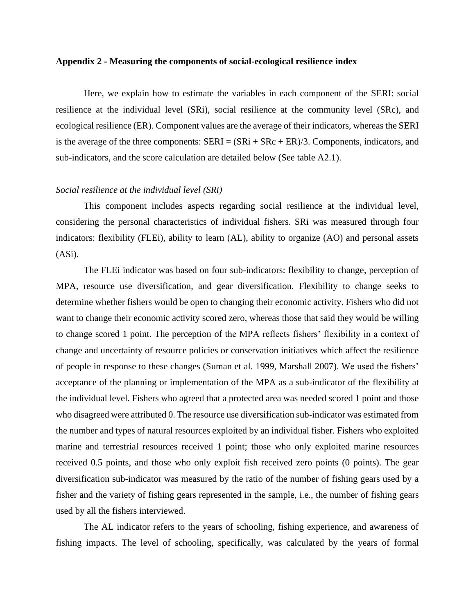## **Appendix 2 - Measuring the components of social-ecological resilience index**

Here, we explain how to estimate the variables in each component of the SERI: social resilience at the individual level (SRi), social resilience at the community level (SRc), and ecological resilience (ER). Component values are the average of their indicators, whereas the SERI is the average of the three components:  $SERI = (SRi + SRc + ER)/3$ . Components, indicators, and sub-indicators, and the score calculation are detailed below (See table A2.1).

## *Social resilience at the individual level (SRi)*

This component includes aspects regarding social resilience at the individual level, considering the personal characteristics of individual fishers. SRi was measured through four indicators: flexibility (FLEi), ability to learn (AL), ability to organize (AO) and personal assets (ASi).

The FLEi indicator was based on four sub-indicators: flexibility to change, perception of MPA, resource use diversification, and gear diversification. Flexibility to change seeks to determine whether fishers would be open to changing their economic activity. Fishers who did not want to change their economic activity scored zero, whereas those that said they would be willing to change scored 1 point. The perception of the MPA reflects fishers' flexibility in a context of change and uncertainty of resource policies or conservation initiatives which affect the resilience of people in response to these changes (Suman et al. 1999, Marshall 2007). We used the fishers' acceptance of the planning or implementation of the MPA as a sub-indicator of the flexibility at the individual level. Fishers who agreed that a protected area was needed scored 1 point and those who disagreed were attributed 0. The resource use diversification sub-indicator was estimated from the number and types of natural resources exploited by an individual fisher. Fishers who exploited marine and terrestrial resources received 1 point; those who only exploited marine resources received 0.5 points, and those who only exploit fish received zero points (0 points). The gear diversification sub-indicator was measured by the ratio of the number of fishing gears used by a fisher and the variety of fishing gears represented in the sample, i.e., the number of fishing gears used by all the fishers interviewed.

The AL indicator refers to the years of schooling, fishing experience, and awareness of fishing impacts. The level of schooling, specifically, was calculated by the years of formal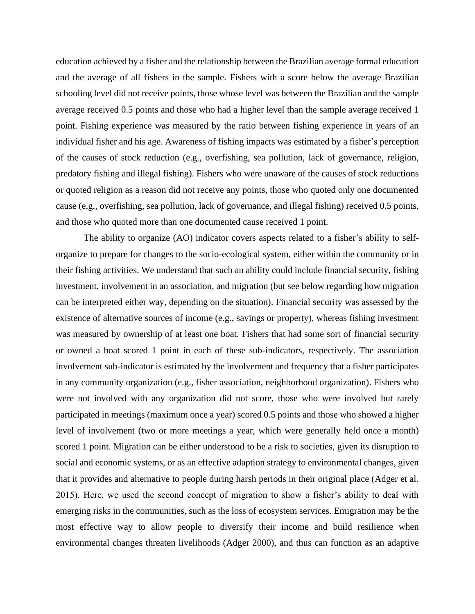education achieved by a fisher and the relationship between the Brazilian average formal education and the average of all fishers in the sample. Fishers with a score below the average Brazilian schooling level did not receive points, those whose level was between the Brazilian and the sample average received 0.5 points and those who had a higher level than the sample average received 1 point. Fishing experience was measured by the ratio between fishing experience in years of an individual fisher and his age. Awareness of fishing impacts was estimated by a fisher's perception of the causes of stock reduction (e.g., overfishing, sea pollution, lack of governance, religion, predatory fishing and illegal fishing). Fishers who were unaware of the causes of stock reductions or quoted religion as a reason did not receive any points, those who quoted only one documented cause (e.g., overfishing, sea pollution, lack of governance, and illegal fishing) received 0.5 points, and those who quoted more than one documented cause received 1 point.

The ability to organize (AO) indicator covers aspects related to a fisher's ability to selforganize to prepare for changes to the socio-ecological system, either within the community or in their fishing activities. We understand that such an ability could include financial security, fishing investment, involvement in an association, and migration (but see below regarding how migration can be interpreted either way, depending on the situation). Financial security was assessed by the existence of alternative sources of income (e.g., savings or property), whereas fishing investment was measured by ownership of at least one boat. Fishers that had some sort of financial security or owned a boat scored 1 point in each of these sub-indicators, respectively. The association involvement sub-indicator is estimated by the involvement and frequency that a fisher participates in any community organization (e.g., fisher association, neighborhood organization). Fishers who were not involved with any organization did not score, those who were involved but rarely participated in meetings (maximum once a year) scored 0.5 points and those who showed a higher level of involvement (two or more meetings a year, which were generally held once a month) scored 1 point. Migration can be either understood to be a risk to societies, given its disruption to social and economic systems, or as an effective adaption strategy to environmental changes, given that it provides and alternative to people during harsh periods in their original place (Adger et al. 2015). Here, we used the second concept of migration to show a fisher's ability to deal with emerging risks in the communities, such as the loss of ecosystem services. Emigration may be the most effective way to allow people to diversify their income and build resilience when environmental changes threaten livelihoods (Adger 2000), and thus can function as an adaptive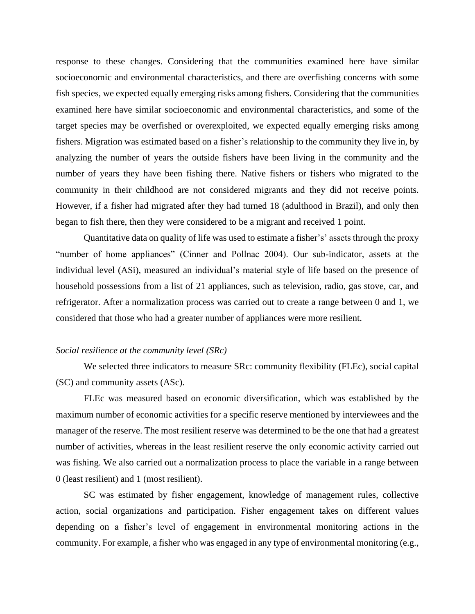response to these changes. Considering that the communities examined here have similar socioeconomic and environmental characteristics, and there are overfishing concerns with some fish species, we expected equally emerging risks among fishers. Considering that the communities examined here have similar socioeconomic and environmental characteristics, and some of the target species may be overfished or overexploited, we expected equally emerging risks among fishers. Migration was estimated based on a fisher's relationship to the community they live in, by analyzing the number of years the outside fishers have been living in the community and the number of years they have been fishing there. Native fishers or fishers who migrated to the community in their childhood are not considered migrants and they did not receive points. However, if a fisher had migrated after they had turned 18 (adulthood in Brazil), and only then began to fish there, then they were considered to be a migrant and received 1 point.

Quantitative data on quality of life was used to estimate a fisher's' assets through the proxy "number of home appliances" (Cinner and Pollnac 2004). Our sub-indicator, assets at the individual level (ASi), measured an individual's material style of life based on the presence of household possessions from a list of 21 appliances, such as television, radio, gas stove, car, and refrigerator. After a normalization process was carried out to create a range between 0 and 1, we considered that those who had a greater number of appliances were more resilient.

## *Social resilience at the community level (SRc)*

We selected three indicators to measure SRc: community flexibility (FLEc), social capital (SC) and community assets (ASc).

FLEc was measured based on economic diversification, which was established by the maximum number of economic activities for a specific reserve mentioned by interviewees and the manager of the reserve. The most resilient reserve was determined to be the one that had a greatest number of activities, whereas in the least resilient reserve the only economic activity carried out was fishing. We also carried out a normalization process to place the variable in a range between 0 (least resilient) and 1 (most resilient).

SC was estimated by fisher engagement, knowledge of management rules, collective action, social organizations and participation. Fisher engagement takes on different values depending on a fisher's level of engagement in environmental monitoring actions in the community. For example, a fisher who was engaged in any type of environmental monitoring (e.g.,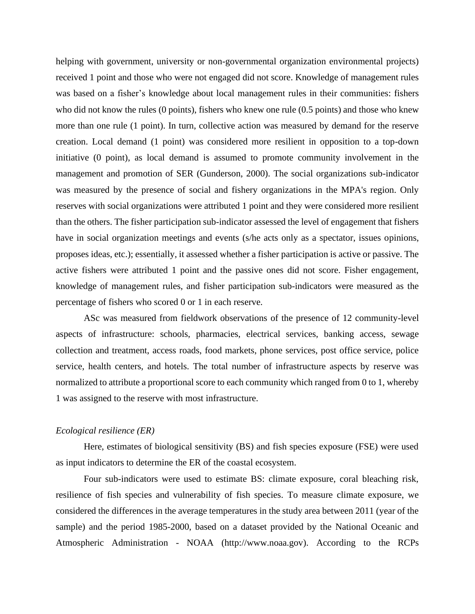helping with government, university or non-governmental organization environmental projects) received 1 point and those who were not engaged did not score. Knowledge of management rules was based on a fisher's knowledge about local management rules in their communities: fishers who did not know the rules (0 points), fishers who knew one rule (0.5 points) and those who knew more than one rule (1 point). In turn, collective action was measured by demand for the reserve creation. Local demand (1 point) was considered more resilient in opposition to a top-down initiative (0 point), as local demand is assumed to promote community involvement in the management and promotion of SER (Gunderson, 2000). The social organizations sub-indicator was measured by the presence of social and fishery organizations in the MPA's region. Only reserves with social organizations were attributed 1 point and they were considered more resilient than the others. The fisher participation sub-indicator assessed the level of engagement that fishers have in social organization meetings and events (s/he acts only as a spectator, issues opinions, proposes ideas, etc.); essentially, it assessed whether a fisher participation is active or passive. The active fishers were attributed 1 point and the passive ones did not score. Fisher engagement, knowledge of management rules, and fisher participation sub-indicators were measured as the percentage of fishers who scored 0 or 1 in each reserve.

ASc was measured from fieldwork observations of the presence of 12 community-level aspects of infrastructure: schools, pharmacies, electrical services, banking access, sewage collection and treatment, access roads, food markets, phone services, post office service, police service, health centers, and hotels. The total number of infrastructure aspects by reserve was normalized to attribute a proportional score to each community which ranged from 0 to 1, whereby 1 was assigned to the reserve with most infrastructure.

## *Ecological resilience (ER)*

Here, estimates of biological sensitivity (BS) and fish species exposure (FSE) were used as input indicators to determine the ER of the coastal ecosystem.

Four sub-indicators were used to estimate BS: climate exposure, coral bleaching risk, resilience of fish species and vulnerability of fish species. To measure climate exposure, we considered the differences in the average temperatures in the study area between 2011 (year of the sample) and the period 1985-2000, based on a dataset provided by the National Oceanic and Atmospheric Administration - NOAA (http://www.noaa.gov). According to the RCPs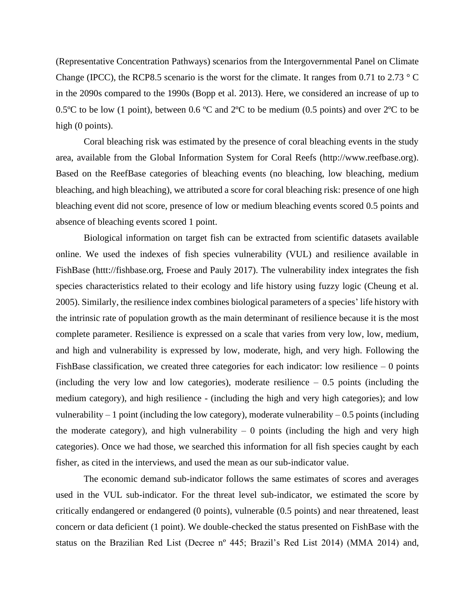(Representative Concentration Pathways) scenarios from the Intergovernmental Panel on Climate Change (IPCC), the RCP8.5 scenario is the worst for the climate. It ranges from 0.71 to 2.73  $\degree$  C in the 2090s compared to the 1990s (Bopp et al. 2013). Here, we considered an increase of up to 0.5<sup>o</sup>C to be low (1 point), between 0.6 <sup>o</sup>C and  $2^{\circ}$ C to be medium (0.5 points) and over  $2^{\circ}$ C to be high (0 points).

Coral bleaching risk was estimated by the presence of coral bleaching events in the study area, available from the Global Information System for Coral Reefs (http://www.reefbase.org). Based on the ReefBase categories of bleaching events (no bleaching, low bleaching, medium bleaching, and high bleaching), we attributed a score for coral bleaching risk: presence of one high bleaching event did not score, presence of low or medium bleaching events scored 0.5 points and absence of bleaching events scored 1 point.

Biological information on target fish can be extracted from scientific datasets available online. We used the indexes of fish species vulnerability (VUL) and resilience available in FishBase (httt://fishbase.org, Froese and Pauly 2017). The vulnerability index integrates the fish species characteristics related to their ecology and life history using fuzzy logic (Cheung et al. 2005). Similarly, the resilience index combines biological parameters of a species' life history with the intrinsic rate of population growth as the main determinant of resilience because it is the most complete parameter. Resilience is expressed on a scale that varies from very low, low, medium, and high and vulnerability is expressed by low, moderate, high, and very high. Following the FishBase classification, we created three categories for each indicator: low resilience  $-0$  points (including the very low and low categories), moderate resilience  $-0.5$  points (including the medium category), and high resilience - (including the high and very high categories); and low vulnerability  $-1$  point (including the low category), moderate vulnerability  $-0.5$  points (including the moderate category), and high vulnerability  $-0$  points (including the high and very high categories). Once we had those, we searched this information for all fish species caught by each fisher, as cited in the interviews, and used the mean as our sub-indicator value.

The economic demand sub-indicator follows the same estimates of scores and averages used in the VUL sub-indicator. For the threat level sub-indicator, we estimated the score by critically endangered or endangered (0 points), vulnerable (0.5 points) and near threatened, least concern or data deficient (1 point). We double-checked the status presented on FishBase with the status on the Brazilian Red List (Decree nº 445; Brazil's Red List 2014) (MMA 2014) and,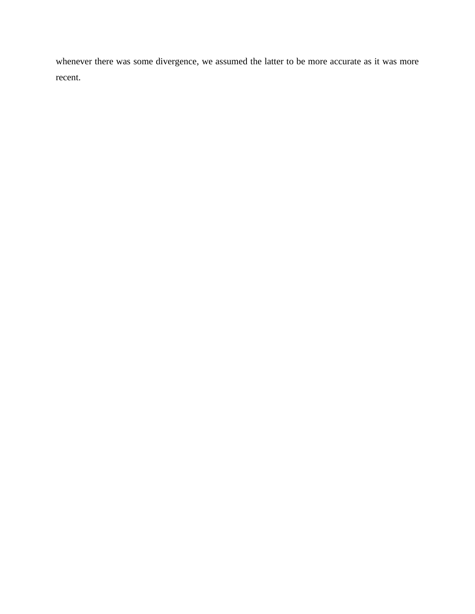whenever there was some divergence, we assumed the latter to be more accurate as it was more recent.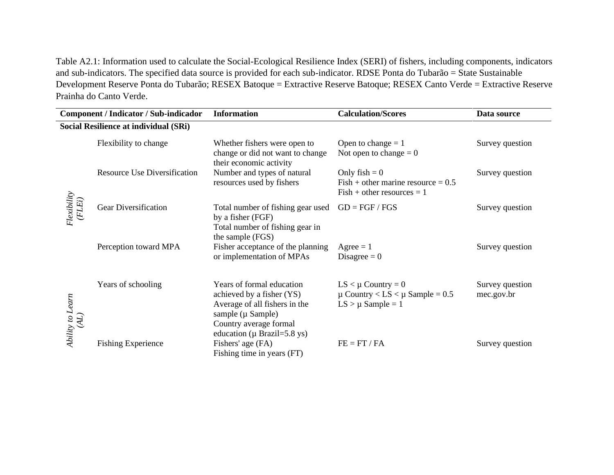Table A2.1: Information used to calculate the Social-Ecological Resilience Index (SERI) of fishers, including components, indicators and sub-indicators. The specified data source is provided for each sub-indicator. RDSE Ponta do Tubarão = State Sustainable Development Reserve Ponta do Tubarão; RESEX Batoque = Extractive Reserve Batoque; RESEX Canto Verde = Extractive Reserve Prainha do Canto Verde.

| Component / Indicator / Sub-indicador |                                     | <b>Information</b>                                                                                                                                                              | <b>Calculation/Scores</b>                                                                  | Data source                   |
|---------------------------------------|-------------------------------------|---------------------------------------------------------------------------------------------------------------------------------------------------------------------------------|--------------------------------------------------------------------------------------------|-------------------------------|
| Social Resilience at individual (SRi) |                                     |                                                                                                                                                                                 |                                                                                            |                               |
| Flexibility<br>(FLEi)                 | Flexibility to change               | Whether fishers were open to<br>change or did not want to change<br>their economic activity                                                                                     | Open to change $= 1$<br>Not open to change $= 0$                                           | Survey question               |
|                                       | <b>Resource Use Diversification</b> | Number and types of natural<br>resources used by fishers                                                                                                                        | Only $fish = 0$<br>$Fish + other marine resource = 0.5$<br>$Fish + other resources = 1$    | Survey question               |
|                                       | <b>Gear Diversification</b>         | Total number of fishing gear used<br>by a fisher (FGF)<br>Total number of fishing gear in<br>the sample (FGS)                                                                   | $GD = FGF / FGS$                                                                           | Survey question               |
|                                       | Perception toward MPA               | Fisher acceptance of the planning<br>or implementation of MPAs                                                                                                                  | $\text{Agree} = 1$<br>Disagree $= 0$                                                       | Survey question               |
| Ability to Learn<br>(AL)              | Years of schooling                  | Years of formal education<br>achieved by a fisher (YS)<br>Average of all fishers in the<br>sample ( $\mu$ Sample)<br>Country average formal<br>education ( $\mu$ Brazil=5.8 ys) | $LS < \mu$ Country = 0<br>$\mu$ Country < LS < $\mu$ Sample = 0.5<br>$LS > \mu$ Sample = 1 | Survey question<br>mec.gov.br |
|                                       | <b>Fishing Experience</b>           | Fishers' age (FA)<br>Fishing time in years (FT)                                                                                                                                 | $FE = FT / FA$                                                                             | Survey question               |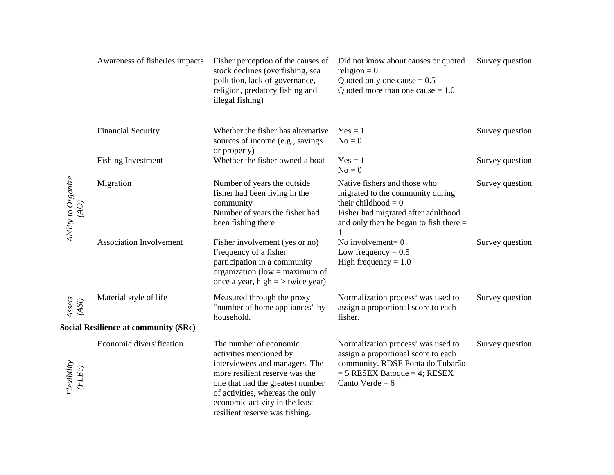|                                       | Awareness of fisheries impacts              | Fisher perception of the causes of<br>stock declines (overfishing, sea<br>pollution, lack of governance,<br>religion, predatory fishing and<br>illegal fishing)                                                                                                  | Did not know about causes or quoted<br>religion = $0$<br>Quoted only one cause $= 0.5$<br>Quoted more than one cause $= 1.0$                                                       | Survey question |
|---------------------------------------|---------------------------------------------|------------------------------------------------------------------------------------------------------------------------------------------------------------------------------------------------------------------------------------------------------------------|------------------------------------------------------------------------------------------------------------------------------------------------------------------------------------|-----------------|
|                                       | <b>Financial Security</b>                   | Whether the fisher has alternative<br>sources of income (e.g., savings<br>or property)                                                                                                                                                                           | $Yes = 1$<br>$No = 0$                                                                                                                                                              | Survey question |
| Ability to Organize<br>$\overline{A}$ | <b>Fishing Investment</b>                   | Whether the fisher owned a boat                                                                                                                                                                                                                                  | $Yes = 1$<br>$No = 0$                                                                                                                                                              | Survey question |
|                                       | Migration                                   | Number of years the outside<br>fisher had been living in the<br>community<br>Number of years the fisher had<br>been fishing there                                                                                                                                | Native fishers and those who<br>migrated to the community during<br>their childhood = $0$<br>Fisher had migrated after adulthood<br>and only then he began to fish there $=$<br>1  | Survey question |
|                                       | <b>Association Involvement</b>              | Fisher involvement (yes or no)<br>Frequency of a fisher<br>participation in a community<br>organization (low $=$ maximum of<br>once a year, high $=$ > twice year)                                                                                               | No involvement= $0$<br>Low frequency $= 0.5$<br>High frequency $= 1.0$                                                                                                             | Survey question |
| Assets<br>(ASi)                       | Material style of life                      | Measured through the proxy<br>"number of home appliances" by<br>household.                                                                                                                                                                                       | Normalization process <sup>a</sup> was used to<br>assign a proportional score to each<br>fisher.                                                                                   | Survey question |
|                                       | <b>Social Resilience at community (SRc)</b> |                                                                                                                                                                                                                                                                  |                                                                                                                                                                                    |                 |
| Flexibility<br>(FLEc)                 | Economic diversification                    | The number of economic<br>activities mentioned by<br>interviewees and managers. The<br>more resilient reserve was the<br>one that had the greatest number<br>of activities, whereas the only<br>economic activity in the least<br>resilient reserve was fishing. | Normalization process <sup>a</sup> was used to<br>assign a proportional score to each<br>community. RDSE Ponta do Tubarão<br>$=$ 5 RESEX Batoque $=$ 4; RESEX<br>Canto Verde = $6$ | Survey question |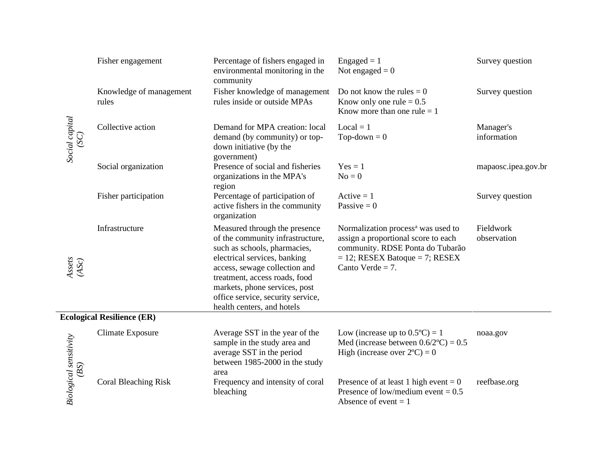|                                | Fisher engagement                 | Percentage of fishers engaged in<br>environmental monitoring in the<br>community                                                                                                                                                                                                                        | $Engaged = 1$<br>Not engaged $= 0$                                                                                                                                                       | Survey question          |
|--------------------------------|-----------------------------------|---------------------------------------------------------------------------------------------------------------------------------------------------------------------------------------------------------------------------------------------------------------------------------------------------------|------------------------------------------------------------------------------------------------------------------------------------------------------------------------------------------|--------------------------|
|                                | Knowledge of management<br>rules  | Fisher knowledge of management<br>rules inside or outside MPAs                                                                                                                                                                                                                                          | Do not know the rules $= 0$<br>Know only one rule $= 0.5$<br>Know more than one rule $= 1$                                                                                               | Survey question          |
| Social capital<br>(SC)         | Collective action                 | Demand for MPA creation: local<br>demand (by community) or top-<br>down initiative (by the<br>government)                                                                                                                                                                                               | $Local = 1$<br>Top-down $= 0$                                                                                                                                                            | Manager's<br>information |
|                                | Social organization               | Presence of social and fisheries<br>organizations in the MPA's<br>region                                                                                                                                                                                                                                | $Yes = 1$<br>$No = 0$                                                                                                                                                                    | mapaosc.ipea.gov.br      |
|                                | Fisher participation              | Percentage of participation of<br>active fishers in the community<br>organization                                                                                                                                                                                                                       | $Active = 1$<br>Passive $= 0$                                                                                                                                                            | Survey question          |
| Assets<br>(ASc)                | Infrastructure                    | Measured through the presence<br>of the community infrastructure,<br>such as schools, pharmacies,<br>electrical services, banking<br>access, sewage collection and<br>treatment, access roads, food<br>markets, phone services, post<br>office service, security service,<br>health centers, and hotels | Normalization process <sup>a</sup> was used to<br>assign a proportional score to each<br>community. RDSE Ponta do Tubarão<br>$= 12$ ; RESEX Batoque $= 7$ ; RESEX<br>Canto Verde $= 7$ . | Fieldwork<br>observation |
|                                | <b>Ecological Resilience (ER)</b> |                                                                                                                                                                                                                                                                                                         |                                                                                                                                                                                          |                          |
| Biological sensitivity<br>(BS) | Climate Exposure                  | Average SST in the year of the<br>sample in the study area and<br>average SST in the period<br>between 1985-2000 in the study<br>area                                                                                                                                                                   | Low (increase up to $0.5^{\circ}C = 1$<br>Med (increase between $0.6/2$ °C) = 0.5<br>High (increase over $2^{\circ}C$ ) = 0                                                              | noaa.gov                 |
|                                | <b>Coral Bleaching Risk</b>       | Frequency and intensity of coral<br>bleaching                                                                                                                                                                                                                                                           | Presence of at least 1 high event = $0$<br>Presence of low/medium event = $0.5$<br>Absence of event $= 1$                                                                                | reefbase.org             |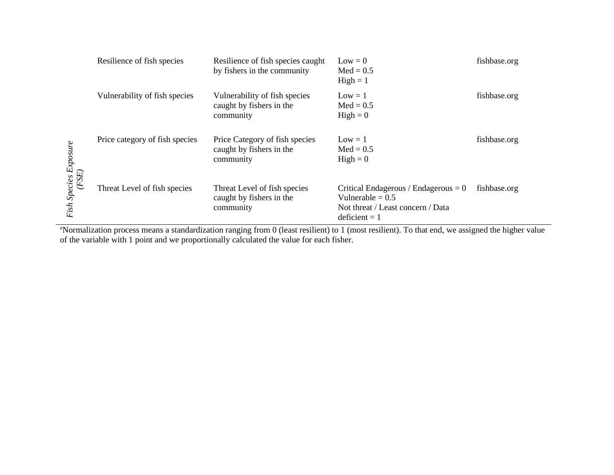|                       | Resilience of fish species     | Resilience of fish species caught<br>by fishers in the community        | $Low = 0$<br>$Med = 0.5$<br>$High = 1$                                                                               | fishbase.org |
|-----------------------|--------------------------------|-------------------------------------------------------------------------|----------------------------------------------------------------------------------------------------------------------|--------------|
|                       | Vulnerability of fish species  | Vulnerability of fish species<br>caught by fishers in the<br>community  | $Low = 1$<br>$Med = 0.5$<br>$High = 0$                                                                               | fishbase.org |
| Fish Species Exposure | Price category of fish species | Price Category of fish species<br>caught by fishers in the<br>community | $Low = 1$<br>$Med = 0.5$<br>$High = 0$                                                                               | fishbase.org |
| (FSE)                 | Threat Level of fish species   | Threat Level of fish species<br>caught by fishers in the<br>community   | Critical Endagerous / Endagerous $= 0$<br>Vulnerable = $0.5$<br>Not threat / Least concern / Data<br>$deficient = 1$ | fishbase.org |

<sup>a</sup>Normalization process means a standardization ranging from 0 (least resilient) to 1 (most resilient). To that end, we assigned the higher value of the variable with 1 point and we proportionally calculated the value for each fisher.